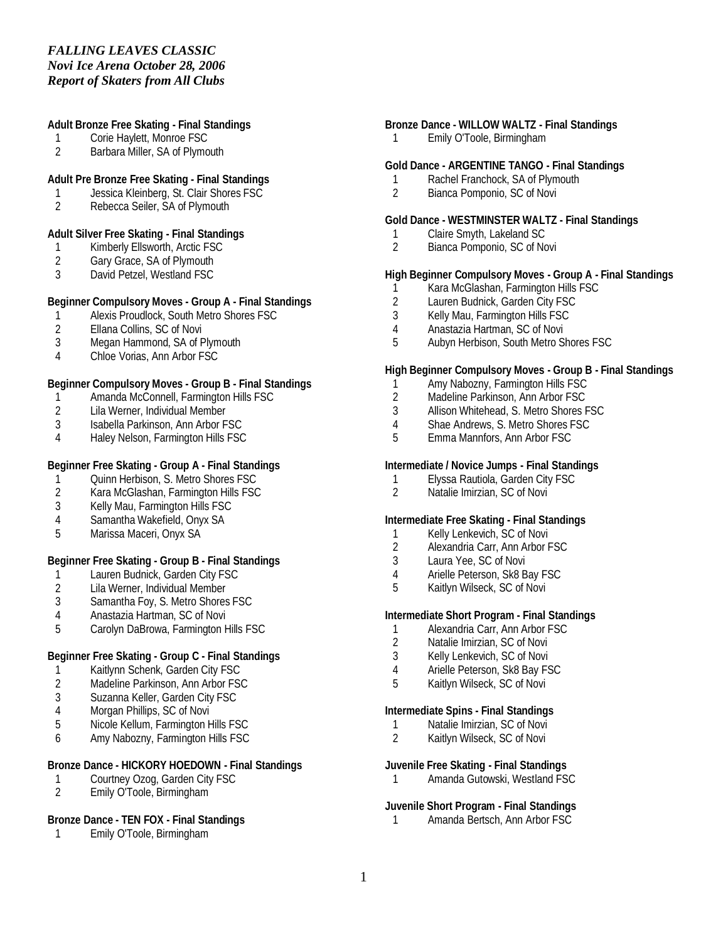**Adult Bronze Free Skating - Final Standings**

- 1 Corie Haylett, Monroe FSC<br>2 Barbara Miller, SA of Plymo
- Barbara Miller, SA of Plymouth

### **Adult Pre Bronze Free Skating - Final Standings**

- 1 Jessica Kleinberg, St. Clair Shores FSC<br>2 Rebecca Seiler. SA of Plymouth
- Rebecca Seiler, SA of Plymouth

**Adult Silver Free Skating - Final Standings**

- 1 Kimberly Ellsworth, Arctic FSC
- 2 Gary Grace, SA of Plymouth<br>3 David Petzel, Westland FSC
- David Petzel, Westland FSC

**Beginner Compulsory Moves - Group A - Final Standings**

- 1 Alexis Proudlock, South Metro Shores FSC<br>2 Ellana Collins. SC of Novi
- 2 Ellana Collins, SC of Novi
- 3 Megan Hammond, SA of Plymouth
- 4 Chloe Vorias, Ann Arbor FSC

**Beginner Compulsory Moves - Group B - Final Standings**

- 1 Amanda McConnell, Farmington Hills FSC<br>2 Lila Werner. Individual Member
- 2 Lila Werner, Individual Member<br>3 Isabella Parkinson, Ann Arbor F
- 3 Isabella Parkinson, Ann Arbor FSC<br>4 Halev Nelson, Farmington Hills FSC
- 4 Haley Nelson, Farmington Hills FSC

**Beginner Free Skating - Group A - Final Standings**

- 1 Quinn Herbison, S. Metro Shores FSC<br>2 Kara McGlashan, Farmington Hills FSC
- 2 Kara McGlashan, Farmington Hills FSC
- 3 Kelly Mau, Farmington Hills FSC
- 4 Samantha Wakefield, Onyx SA
- 5 Marissa Maceri, Onyx SA

**Beginner Free Skating - Group B - Final Standings**

- 1 Lauren Budnick, Garden City FSC<br>2 Lila Werner, Individual Member
- 2 Lila Werner, Individual Member<br>3 Samantha Foy, S. Metro Shores
- Samantha Foy, S. Metro Shores FSC
- 4 Anastazia Hartman, SC of Novi
- 5 Carolyn DaBrowa, Farmington Hills FSC

**Beginner Free Skating - Group C - Final Standings**

- 1 Kaitlynn Schenk, Garden City FSC<br>2 Madeline Parkinson, Ann Arbor FS
- 2 Madeline Parkinson, Ann Arbor FSC
- 3 Suzanna Keller, Garden City FSC
- 4 Morgan Phillips, SC of Novi
- 5 Nicole Kellum, Farmington Hills FSC
- 6 Amy Nabozny, Farmington Hills FSC

### **Bronze Dance - HICKORY HOEDOWN - Final Standings**

- 1 Courtney Ozog, Garden City FSC<br>2 Emily O'Toole, Birmingham
- Emily O'Toole, Birmingham

### **Bronze Dance - TEN FOX - Final Standings**

1 Emily O'Toole, Birmingham

**Bronze Dance - WILLOW WALTZ - Final Standings** 1 Emily O'Toole, Birmingham

**Gold Dance - ARGENTINE TANGO - Final Standings**

- 1 Rachel Franchock, SA of Plymouth
- 2 Bianca Pomponio, SC of Novi

#### **Gold Dance - WESTMINSTER WALTZ - Final Standings**

- 1 Claire Smyth, Lakeland SC
- 2 Bianca Pomponio, SC of Novi

**High Beginner Compulsory Moves - Group A - Final Standings**

- 1 Kara McGlashan, Farmington Hills FSC<br>2 Lauren Budnick, Garden City FSC
- Lauren Budnick, Garden City FSC
- 3 Kelly Mau, Farmington Hills FSC
- 4 Anastazia Hartman, SC of Novi
- 5 Aubyn Herbison, South Metro Shores FSC

**High Beginner Compulsory Moves - Group B - Final Standings**

- 1 Amy Nabozny, Farmington Hills FSC
- 2 Madeline Parkinson, Ann Arbor FSC
- 3 Allison Whitehead, S. Metro Shores FSC
- 4 Shae Andrews, S. Metro Shores FSC<br>5 Emma Mannfors. Ann Arbor FSC
- 5 Emma Mannfors, Ann Arbor FSC

**Intermediate / Novice Jumps - Final Standings**

- 1 Elyssa Rautiola, Garden City FSC<br>2 Natalie Imirzian, SC of Novi
- Natalie Imirzian, SC of Novi

**Intermediate Free Skating - Final Standings**

- 1 Kelly Lenkevich, SC of Novi
- 2 Alexandria Carr, Ann Arbor FSC
- 3 Laura Yee, SC of Novi
- 4 Arielle Peterson, Sk8 Bay FSC
- 5 Kaitlyn Wilseck, SC of Novi

**Intermediate Short Program - Final Standings**

- 1 Alexandria Carr, Ann Arbor FSC<br>2 Natalie Imirzian, SC of Novi
- 2 Natalie Imirzian, SC of Novi
- 3 Kelly Lenkevich, SC of Novi
- 4 Arielle Peterson, Sk8 Bay FSC
- 5 Kaitlyn Wilseck, SC of Novi

**Intermediate Spins - Final Standings**

- 1 Natalie Imirzian, SC of Novi
- 2 Kaitlyn Wilseck, SC of Novi

**Juvenile Free Skating - Final Standings** 1 Amanda Gutowski, Westland FSC

**Juvenile Short Program - Final Standings** 1 Amanda Bertsch, Ann Arbor FSC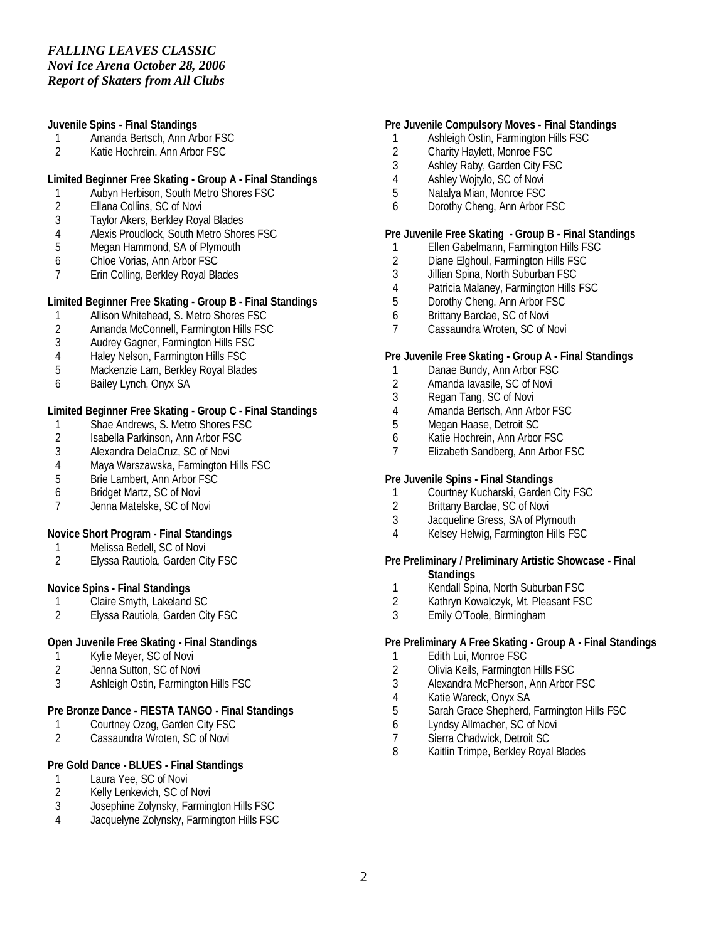**Juvenile Spins - Final Standings**

- 1 Amanda Bertsch, Ann Arbor FSC<br>2 Katie Hochrein. Ann Arbor FSC
- Katie Hochrein, Ann Arbor FSC

### **Limited Beginner Free Skating - Group A - Final Standings**

- 1 Aubyn Herbison, South Metro Shores FSC<br>2 Ellana Collins. SC of Novi
- Ellana Collins, SC of Novi
- 3 Taylor Akers, Berkley Royal Blades
- 4 Alexis Proudlock, South Metro Shores FSC<br>5 Megan Hammond. SA of Plymouth
- Megan Hammond, SA of Plymouth
- 6 Chloe Vorias, Ann Arbor FSC
- 7 Erin Colling, Berkley Royal Blades

**Limited Beginner Free Skating - Group B - Final Standings**

- 1 Allison Whitehead, S. Metro Shores FSC<br>2 Amanda McConnell. Farminaton Hills FSC
- 2 Amanda McConnell, Farmington Hills FSC
- 3 Audrey Gagner, Farmington Hills FSC
- 4 Haley Nelson, Farmington Hills FSC
- 5 Mackenzie Lam, Berkley Royal Blades
- 6 Bailey Lynch, Onyx SA

**Limited Beginner Free Skating - Group C - Final Standings**

- 1 Shae Andrews, S. Metro Shores FSC<br>2 Isabella Parkinson, Ann Arbor FSC
- 2 Isabella Parkinson, Ann Arbor FSC
- 3 Alexandra DelaCruz, SC of Novi
- 4 Maya Warszawska, Farmington Hills FSC<br>5 Brie Lambert, Ann Arbor FSC
- 5 Brie Lambert, Ann Arbor FSC
- 6 Bridget Martz, SC of Novi
- 7 Jenna Matelske, SC of Novi

**Novice Short Program - Final Standings**

- 1 Melissa Bedell, SC of Novi<br>2 Elyssa Rautiola, Garden Ci
- 2 Elyssa Rautiola, Garden City FSC

**Novice Spins - Final Standings**

- 1 Claire Smyth, Lakeland SC<br>2 Elyssa Rautiola, Garden Cit
- 2 Elyssa Rautiola, Garden City FSC

#### **Open Juvenile Free Skating - Final Standings**

- 1 Kylie Meyer, SC of Novi
- 2 Jenna Sutton, SC of Novi
- 3 Ashleigh Ostin, Farmington Hills FSC

#### **Pre Bronze Dance - FIESTA TANGO - Final Standings**

- 1 Courtney Ozog, Garden City FSC<br>2 Cassaundra Wroten, SC of Novi
- Cassaundra Wroten, SC of Novi

#### **Pre Gold Dance - BLUES - Final Standings**

- 1 Laura Yee, SC of Novi<br>2 Kelly Lenkevich, SC of
- 2 Kelly Lenkevich, SC of Novi<br>3 Josephine Zolynsky. Farming
- 3 Josephine Zolynsky, Farmington Hills FSC
- 4 Jacquelyne Zolynsky, Farmington Hills FSC

### **Pre Juvenile Compulsory Moves - Final Standings**

- 1 Ashleigh Ostin, Farmington Hills FSC
- 2 Charity Haylett, Monroe FSC<br>3 Ashlev Raby, Garden City FS
- Ashley Raby, Garden City FSC
- 4 Ashley Wojtylo, SC of Novi
- 5 Natalya Mian, Monroe FSC
- 6 Dorothy Cheng, Ann Arbor FSC

### **Pre Juvenile Free Skating - Group B - Final Standings**

- 1 Ellen Gabelmann, Farmington Hills FSC
- 2 Diane Elghoul, Farmington Hills FSC<br>3 Jillian Spina, North Suburban FSC
- Jillian Spina, North Suburban FSC
- 4 Patricia Malaney, Farmington Hills FSC
- 5 Dorothy Cheng, Ann Arbor FSC
- 6 Brittany Barclae, SC of Novi
- 7 Cassaundra Wroten, SC of Novi

#### **Pre Juvenile Free Skating - Group A - Final Standings**

- 1 Danae Bundy, Ann Arbor FSC
- 2 Amanda Iavasile, SC of Novi
- 3 Regan Tang, SC of Novi
- 4 Amanda Bertsch, Ann Arbor FSC<br>5 Megan Haase, Detroit SC
- 5 Megan Haase, Detroit SC
- 6 Katie Hochrein, Ann Arbor FSC
- 7 Elizabeth Sandberg, Ann Arbor FSC

#### **Pre Juvenile Spins - Final Standings**

- 1 Courtney Kucharski, Garden City FSC
- 2 Brittany Barclae, SC of Novi
- 3 Jacqueline Gress, SA of Plymouth
- 4 Kelsey Helwig, Farmington Hills FSC

**Pre Preliminary / Preliminary Artistic Showcase - Final Standings**

- 1 Kendall Spina, North Suburban FSC<br>2 Kathrvn Kowalczyk. Mt. Pleasant FS
- 2 Kathryn Kowalczyk, Mt. Pleasant FSC
- 3 Emily O'Toole, Birmingham

### **Pre Preliminary A Free Skating - Group A - Final Standings**

- 1 Edith Lui, Monroe FSC
- 2 Olivia Keils, Farmington Hills FSC
- 3 Alexandra McPherson, Ann Arbor FSC
- 4 Katie Wareck, Onyx SA
- 5 Sarah Grace Shepherd, Farmington Hills FSC
- 6 Lyndsy Allmacher, SC of Novi
- 7 Sierra Chadwick, Detroit SC<br>8 Kaitlin Trimpe, Berkley Rova
- 8 Kaitlin Trimpe, Berkley Royal Blades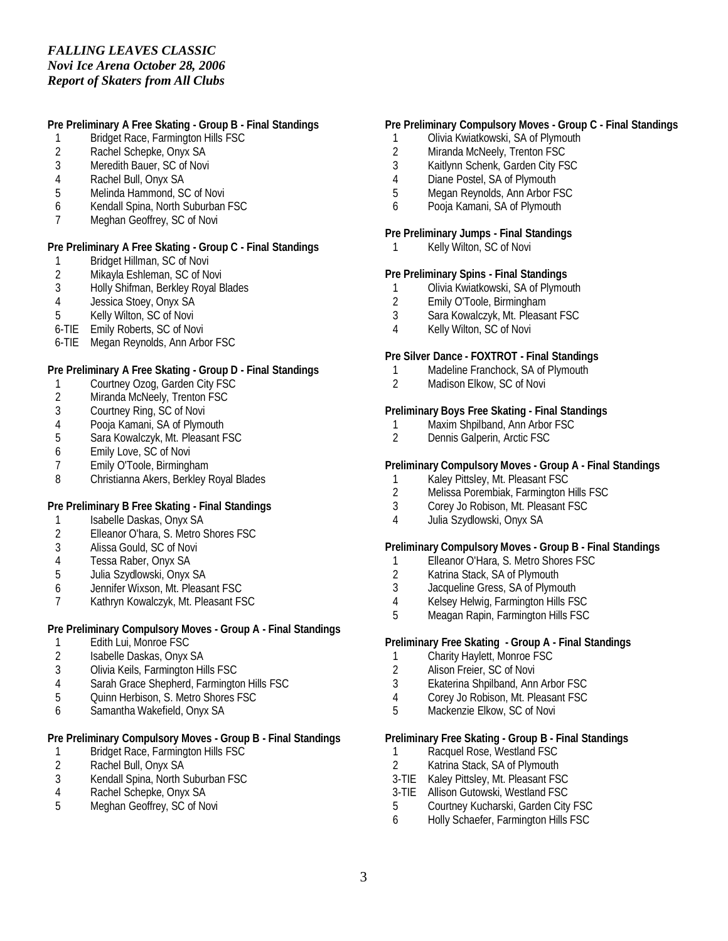**Pre Preliminary A Free Skating - Group B - Final Standings**

- 1 Bridget Race, Farmington Hills FSC
- 2 Rachel Schepke, Onyx SA<br>3 Meredith Bauer. SC of Novi
- Meredith Bauer, SC of Novi
- 4 Rachel Bull, Onyx SA
- 5 Melinda Hammond, SC of Novi
- 6 Kendall Spina, North Suburban FSC
- 7 Meghan Geoffrey, SC of Novi

**Pre Preliminary A Free Skating - Group C - Final Standings**

- 1 Bridget Hillman, SC of Novi<br>2 Mikayla Eshleman, SC of No
- 2 Mikayla Eshleman, SC of Novi<br>3 Holly Shifman, Berkley Royal B
- 3 Holly Shifman, Berkley Royal Blades
- 4 Jessica Stoey, Onyx SA
- 5 Kelly Wilton, SC of Novi
- 6-TIE Emily Roberts, SC of Novi
- 6-TIE Megan Reynolds, Ann Arbor FSC

**Pre Preliminary A Free Skating - Group D - Final Standings**

- 1 Courtney Ozog, Garden City FSC
- 2 Miranda McNeely, Trenton FSC
- 3 Courtney Ring, SC of Novi
- 
- 4 Pooja Kamani, SA of Plymouth<br>5 Sara Kowalczyk, Mt. Pleasant F 5 Sara Kowalczyk, Mt. Pleasant FSC
- 6 Emily Love, SC of Novi
- 7 Emily O'Toole, Birmingham<br>8 Christianna Akers. Berklev I
- 8 Christianna Akers, Berkley Royal Blades

**Pre Preliminary B Free Skating - Final Standings**

- 1 Isabelle Daskas, Onyx SA<br>2 Elleanor O'hara. S. Metro S
- 2 Elleanor O'hara, S. Metro Shores FSC
- 3 Alissa Gould, SC of Novi
- 4 Tessa Raber, Onyx SA
- 5 Julia Szydlowski, Onyx SA
- 6 Jennifer Wixson, Mt. Pleasant FSC
- 7 Kathryn Kowalczyk, Mt. Pleasant FSC

**Pre Preliminary Compulsory Moves - Group A - Final Standings**

- 1 Edith Lui, Monroe FSC<br>2 Isabelle Daskas, Onvx
- 2 Isabelle Daskas, Onyx SA
- 3 Olivia Keils, Farmington Hills FSC
- 4 Sarah Grace Shepherd, Farmington Hills FSC
- 5 Quinn Herbison, S. Metro Shores FSC
- 6 Samantha Wakefield, Onyx SA

**Pre Preliminary Compulsory Moves - Group B - Final Standings**

- 1 Bridget Race, Farmington Hills FSC<br>2 Rachel Bull, Onyx SA
- 2 Rachel Bull, Onyx SA<br>3 Kendall Spina, North S
- 3 Kendall Spina, North Suburban FSC
- 4 Rachel Schepke, Onyx SA<br>5 Meahan Geoffrev. SC of No
- Meghan Geoffrey, SC of Novi

### **Pre Preliminary Compulsory Moves - Group C - Final Standings**

- 1 Olivia Kwiatkowski, SA of Plymouth
- 2 Miranda McNeely, Trenton FSC<br>3 Kaitlynn Schenk. Garden City FS
- 3 Kaitlynn Schenk, Garden City FSC
- 4 Diane Postel, SA of Plymouth
- 5 Megan Reynolds, Ann Arbor FSC
- 6 Pooja Kamani, SA of Plymouth

**Pre Preliminary Jumps - Final Standings**

1 Kelly Wilton, SC of Novi

**Pre Preliminary Spins - Final Standings**

- 1 Olivia Kwiatkowski, SA of Plymouth<br>2 Emily O'Toole. Birmingham
- 2 Emily O'Toole, Birmingham
- 3 Sara Kowalczyk, Mt. Pleasant FSC
- 4 Kelly Wilton, SC of Novi

**Pre Silver Dance - FOXTROT - Final Standings**

- 1 Madeline Franchock, SA of Plymouth
- 2 Madison Elkow, SC of Novi

**Preliminary Boys Free Skating - Final Standings**

- 1 Maxim Shpilband, Ann Arbor FSC<br>2 Dennis Galberin. Arctic FSC
- Dennis Galperin, Arctic FSC

**Preliminary Compulsory Moves - Group A - Final Standings**

- 1 Kaley Pittsley, Mt. Pleasant FSC<br>2 Melissa Porembiak. Farmington I
- 2 Melissa Porembiak, Farmington Hills FSC
- 3 Corey Jo Robison, Mt. Pleasant FSC
- 4 Julia Szydlowski, Onyx SA

**Preliminary Compulsory Moves - Group B - Final Standings**

- 1 Elleanor O'Hara, S. Metro Shores FSC
- 2 Katrina Stack, SA of Plymouth
- 3 Jacqueline Gress, SA of Plymouth
- 4 Kelsey Helwig, Farmington Hills FSC
- 5 Meagan Rapin, Farmington Hills FSC

**Preliminary Free Skating - Group A - Final Standings**

- 1 Charity Haylett, Monroe FSC
- 2 Alison Freier, SC of Novi
- 3 Ekaterina Shpilband, Ann Arbor FSC
- 4 Corey Jo Robison, Mt. Pleasant FSC
- 5 Mackenzie Elkow, SC of Novi

**Preliminary Free Skating - Group B - Final Standings**

- 1 Racquel Rose, Westland FSC
- 2 Katrina Stack, SA of Plymouth
- 3-TIE Kaley Pittsley, Mt. Pleasant FSC
- 3-TIE Allison Gutowski, Westland FSC
- 5 Courtney Kucharski, Garden City FSC
- 6 Holly Schaefer, Farmington Hills FSC